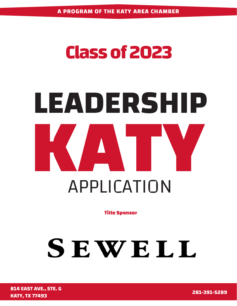### **Class of 2023**

# **LEADERSHIP KATY** APPLICATION

**Title Sponsor**

## SEWELL

**281-391-5289 814 EAST AVE., STE. G KATY, TX 77493**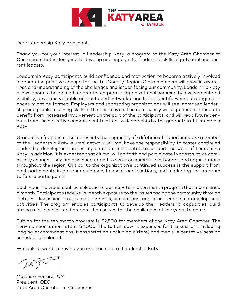

Dear Leadership Katy Applicant,

Thank you for your interest in Leadership Katy, a program of the Katy Area Chamber of Commerce that is designed to develop and engage the leadership skills of potential and current leaders.

Leadership Katy participants build confidence and motivation to become actively involved in promoting positive change for the Tri-County Region. Class members will grow in awareness and understanding of the challenges and issues facing our community. Leadership Katy allows doors to be opened for greater corporate-organizational community involvement and visibility, develops valuable contacts and networks, and helps identify where strategic alliances might be formed. Employers and sponsoring organizations will see increased leadership and problem solving skills in their employee. The community will experience immediate benefit from increased involvement on the part of the participants, and will reap future benefits from the collective commitment to effective leadership by the graduates of Leadership Katy.

Graduation from the class represents the beginning of a lifetime of opportunity as a member of the Leadership Katy Alumni network. Alumni have the responsibility to foster continued leadership development in the region and are expected to support the work of Leadership Katy. In addition, it is expected that alumni will go forth and participate in constructive community change. They are also encouraged to serve on committees, boards, and organizations throughout the region. Critical to the organization's continued success is the support from past participants in program guidance, financial contributions, and marketing the program to future participants.

Each year, individuals will be selected to participate in a ten month program that meets once a month. Participants receive in-depth exposure to the issues facing the community through lectures, discussion groups, on-site visits, simulations, and other leadership development activities. The program enables participants to develop their leadership capacities, build strong relationships, and prepare themselves for the challenges of the years to come.

Tuition for the ten month program is \$2,500 for members of the Katy Area Chamber. The non-member tuition rate is \$3,000. The tuition covers expenses for the sessions including lodging accommodations, transportation (including airfare) and meals. A tentative session schedule is included.

We look forward to having you as a member of Leadership Katy!

Matthew Ferraro, IOM President CEO Katy Area Chamber of Commerce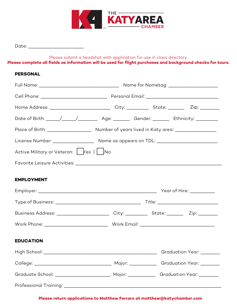

Date: \_\_\_\_\_\_\_\_\_\_\_\_\_\_\_\_\_\_\_\_

Please submit a headshot with application for use in class directory.

**Please complete all fields as information will be used for flight purchases and background checks for tours.**

#### **PERSONAL**

| Date of Birth: _____/_____/____________ Age: _________ Gender: ________ Ethnicity: __________ |  |  |  |  |  |
|-----------------------------------------------------------------------------------------------|--|--|--|--|--|
|                                                                                               |  |  |  |  |  |
| License Number: ______________________ Name as appears on TDL: __________________             |  |  |  |  |  |
| Active Military or Veteran:   Yes     No                                                      |  |  |  |  |  |
|                                                                                               |  |  |  |  |  |
| <b>EMPLOYMENT</b>                                                                             |  |  |  |  |  |
|                                                                                               |  |  |  |  |  |
|                                                                                               |  |  |  |  |  |
|                                                                                               |  |  |  |  |  |
|                                                                                               |  |  |  |  |  |

#### **EDUCATION**

|                                                |                                                                                                                                                                                                                               | Graduation Year: _______ |
|------------------------------------------------|-------------------------------------------------------------------------------------------------------------------------------------------------------------------------------------------------------------------------------|--------------------------|
| College: ____________________________          | Major: <b>Martia</b>                                                                                                                                                                                                          | Graduation Year:         |
| Graduate School: <u>______________________</u> | Major: when the control of the control of the control of the control of the control of the control of the control of the control of the control of the control of the control of the control of the control of the control of | Graduation Year:         |
|                                                |                                                                                                                                                                                                                               |                          |

#### **Please return applications to Matthew Ferraro at matthew@katychamber.com**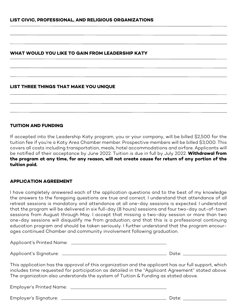#### **WHAT WOULD YOU LIKE TO GAIN FROM LEADERSHIP KATY**

#### **LIST THREE THINGS THAT MAKE YOU UNIQUE**

#### **TUITION AND FUNDING**

If accepted into the Leadership Katy program, you or your company, will be billed \$2,500 for the tuition fee if you're a Katy Area Chamber member. Prospective members will be billed \$3,000. This covers all costs including transportation, meals, hotel accommodations and airfare. Applicants will be notified of their acceptance by June 2022. Tuition is due in full by July 2022. **Withdrawal from the program at any time, for any reason, will not create cause for return of any portion of the tuition paid.** 

#### **APPLICATION AGREEMENT**

I have completely answered each of the application questions and to the best of my knowledge the answers to the foregoing questions are true and correct. I understand that attendance of all retreat sessions is mandatory and attendance at all one-day sessions is expected. I understand that the program will be delivered in six full-day (8 hours) sessions and four two-day out-of-town sessions from August through May. I accept that missing a two-day session or more than two one-day sessions will disqualify me from graduation; and that this is a professional continuing education program and should be taken seriously. I further understand that the program encourages continued Chamber and community involvement following graduation.

| Applicant's Printed Name: |       |  |
|---------------------------|-------|--|
| Applicant's Signature:    | Date: |  |

This application has the approval of this organization and the applicant has our full support, which includes time requested for participation as detailed in the "Applicant Agreement" stated above. The organization also understands the system of Tuition & Funding as stated above.

Employer's Printed Name:

Employer's Signature: Date: